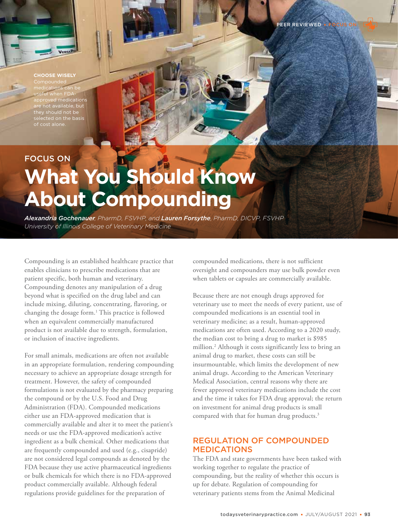# **CHOOSE WISELY**

medications can be useful when FDAed medications are not available, but they should not be selected on the basis of cost alone.

# FOCUS ON **What You Should Know About Compounding**

*Alexandria Gochenauer, PharmD, FSVHP, and Lauren Forsythe, PharmD, DICVP, FSVHP University of Illinois College of Veterinary Medicine* 

Compounding is an established healthcare practice that enables clinicians to prescribe medications that are patient specific, both human and veterinary. Compounding denotes any manipulation of a drug beyond what is specified on the drug label and can include mixing, diluting, concentrating, flavoring, or changing the dosage form.<sup>1</sup> This practice is followed when an equivalent commercially manufactured product is not available due to strength, formulation, or inclusion of inactive ingredients.

For small animals, medications are often not available in an appropriate formulation, rendering compounding necessary to achieve an appropriate dosage strength for treatment. However, the safety of compounded formulations is not evaluated by the pharmacy preparing the compound or by the U.S. Food and Drug Administration (FDA). Compounded medications either use an FDA-approved medication that is commercially available and alter it to meet the patient's needs or use the FDA-approved medication's active ingredient as a bulk chemical. Other medications that are frequently compounded and used (e.g., cisapride) are not considered legal compounds as denoted by the FDA because they use active pharmaceutical ingredients or bulk chemicals for which there is no FDA-approved product commercially available. Although federal regulations provide guidelines for the preparation of

compounded medications, there is not sufficient oversight and compounders may use bulk powder even when tablets or capsules are commercially available.

Because there are not enough drugs approved for veterinary use to meet the needs of every patient, use of compounded medications is an essential tool in veterinary medicine; as a result, human-approved medications are often used. According to a 2020 study, the median cost to bring a drug to market is \$985 million.2 Although it costs significantly less to bring an animal drug to market, these costs can still be insurmountable, which limits the development of new animal drugs. According to the American Veterinary Medical Association, central reasons why there are fewer approved veterinary medications include the cost and the time it takes for FDA drug approval; the return on investment for animal drug products is small compared with that for human drug products.<sup>3</sup>

## REGULATION OF COMPOUNDED MEDICATIONS

The FDA and state governments have been tasked with working together to regulate the practice of compounding, but the reality of whether this occurs is up for debate. Regulation of compounding for veterinary patients stems from the Animal Medicinal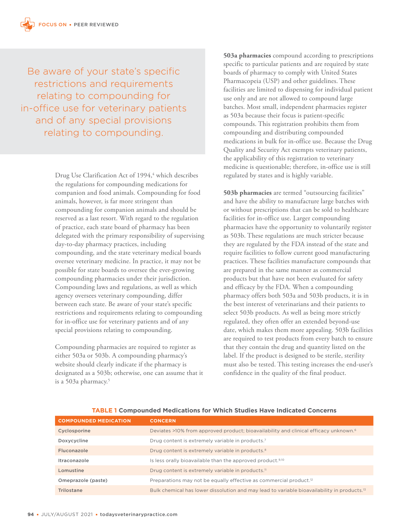Be aware of your state's specific restrictions and requirements relating to compounding for in-office use for veterinary patients and of any special provisions relating to compounding.

> Drug Use Clarification Act of 1994,<sup>4</sup> which describes the regulations for compounding medications for companion and food animals. Compounding for food animals, however, is far more stringent than compounding for companion animals and should be reserved as a last resort. With regard to the regulation of practice, each state board of pharmacy has been delegated with the primary responsibility of supervising day-to-day pharmacy practices, including compounding, and the state veterinary medical boards oversee veterinary medicine. In practice, it may not be possible for state boards to oversee the ever-growing compounding pharmacies under their jurisdiction. Compounding laws and regulations, as well as which agency oversees veterinary compounding, differ between each state. Be aware of your state's specific restrictions and requirements relating to compounding for in-office use for veterinary patients and of any special provisions relating to compounding.

> Compounding pharmacies are required to register as either 503a or 503b. A compounding pharmacy's website should clearly indicate if the pharmacy is designated as a 503b; otherwise, one can assume that it is a 503a pharmacy.5

**503a pharmacies** compound according to prescriptions specific to particular patients and are required by state boards of pharmacy to comply with United States Pharmacopeia (USP) and other guidelines. These facilities are limited to dispensing for individual patient use only and are not allowed to compound large batches. Most small, independent pharmacies register as 503a because their focus is patient-specific compounds. This registration prohibits them from compounding and distributing compounded medications in bulk for in-office use. Because the Drug Quality and Security Act exempts veterinary patients, the applicability of this registration to veterinary medicine is questionable; therefore, in-office use is still regulated by states and is highly variable.

**503b pharmacies** are termed "outsourcing facilities" and have the ability to manufacture large batches with or without prescriptions that can be sold to healthcare facilities for in-office use. Larger compounding pharmacies have the opportunity to voluntarily register as 503b. These regulations are much stricter because they are regulated by the FDA instead of the state and require facilities to follow current good manufacturing practices. These facilities manufacture compounds that are prepared in the same manner as commercial products but that have not been evaluated for safety and efficacy by the FDA. When a compounding pharmacy offers both 503a and 503b products, it is in the best interest of veterinarians and their patients to select 503b products. As well as being more strictly regulated, they often offer an extended beyond-use date, which makes them more appealing. 503b facilities are required to test products from every batch to ensure that they contain the drug and quantity listed on the label. If the product is designed to be sterile, sterility must also be tested. This testing increases the end-user's confidence in the quality of the final product.

| <b>COMPOUNDED MEDICATION</b> | <b>CONCERN</b>                                                                                          |  |
|------------------------------|---------------------------------------------------------------------------------------------------------|--|
| Cyclosporine                 | Deviates >10% from approved product; bioavailability and clinical efficacy unknown. <sup>6</sup>        |  |
| Doxycycline                  | Drug content is extremely variable in products. <sup>7</sup>                                            |  |
| Fluconazole                  | Drug content is extremely variable in products. <sup>8</sup>                                            |  |
| Itraconazole                 | Is less orally bioavailable than the approved product. <sup>9,10</sup>                                  |  |
| Lomustine                    | Drug content is extremely variable in products. <sup>11</sup>                                           |  |
| Omeprazole (paste)           | Preparations may not be equally effective as commercial product. <sup>12</sup>                          |  |
| Trilostane                   | Bulk chemical has lower dissolution and may lead to variable bioavailability in products. <sup>13</sup> |  |

#### **TABLE 1 Compounded Medications for Which Studies Have Indicated Concerns**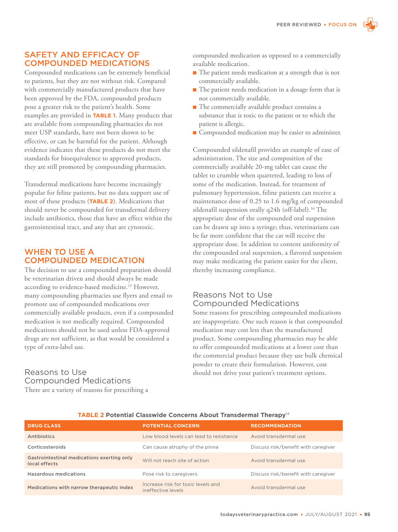## SAFETY AND EFFICACY OF COMPOUNDED MEDICATIONS

Compounded medications can be extremely beneficial to patients, but they are not without risk. Compared with commercially manufactured products that have been approved by the FDA, compounded products pose a greater risk to the patient's health. Some examples are provided in **TABLE 1**. Many products that are available from compounding pharmacies do not meet USP standards, have not been shown to be effective, or can be harmful for the patient. Although evidence indicates that these products do not meet the standards for bioequivalence to approved products, they are still promoted by compounding pharmacies.

Transdermal medications have become increasingly popular for feline patients, but no data support use of most of these products (**TABLE 2**). Medications that should never be compounded for transdermal delivery include antibiotics, those that have an effect within the gastrointestinal tract, and any that are cytotoxic.

## WHEN TO USE A COMPOUNDED MEDICATION

The decision to use a compounded preparation should be veterinarian driven and should always be made according to evidence-based medicine.15 However, many compounding pharmacies use flyers and email to promote use of compounded medications over commercially available products, even if a compounded medication is not medically required. Compounded medications should not be used unless FDA-approved drugs are not sufficient, as that would be considered a type of extra-label use.

## Reasons to Use Compounded Medications

There are a variety of reasons for prescribing a

compounded medication as opposed to a commercially available medication.

- The patient needs medication at a strength that is not commercially available.
- The patient needs medication in a dosage form that is not commercially available.
- The commercially available product contains a substance that is toxic to the patient or to which the patient is allergic.
- Compounded medication may be easier to administer.

Compounded sildenafil provides an example of ease of administration. The size and composition of the commercially available 20-mg tablet can cause the tablet to crumble when quartered, leading to loss of some of the medication. Instead, for treatment of pulmonary hypertension, feline patients can receive a maintenance dose of 0.25 to 1.6 mg/kg of compounded sildenafil suspension orally q24h (off-label).<sup>16</sup> The appropriate dose of the compounded oral suspension can be drawn up into a syringe; thus, veterinarians can be far more confident that the cat will receive the appropriate dose. In addition to content uniformity of the compounded oral suspension, a flavored suspension may make medicating the patient easier for the client, thereby increasing compliance.

## Reasons Not to Use Compounded Medications

Some reasons for prescribing compounded medications are inappropriate. One such reason is that compounded medication may cost less than the manufactured product. Some compounding pharmacies may be able to offer compounded medications at a lower cost than the commercial product because they use bulk chemical powder to create their formulation. However, cost should not drive your patient's treatment options.

| <b>DRUG CLASS</b>                                           | <b>POTENTIAL CONCERN</b>                                 | <b>RECOMMENDATION</b>               |
|-------------------------------------------------------------|----------------------------------------------------------|-------------------------------------|
| Antibiotics                                                 | Low blood levels can lead to resistance                  | Avoid transdermal use               |
| Corticosteroids                                             | Can cause atrophy of the pinna                           | Discuss risk/benefit with caregiver |
| Gastrointestinal medications exerting only<br>local effects | Will not reach site of action                            | Avoid transdermal use               |
| <b>Hazardous medications</b>                                | Pose risk to caregivers                                  | Discuss risk/benefit with caregiver |
| Medications with narrow therapeutic index                   | Increase risk for toxic levels and<br>ineffective levels | Avoid transdermal use               |

#### **TABLE 2 Potential Classwide Concerns About Transdermal Therapy**<sup>14</sup>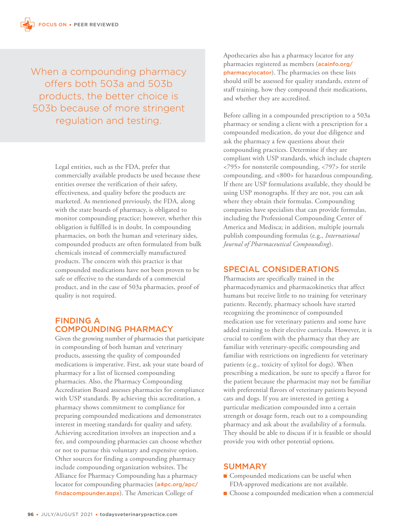When a compounding pharmacy offers both 503a and 503b products, the better choice is 503b because of more stringent regulation and testing.

> Legal entities, such as the FDA, prefer that commercially available products be used because these entities oversee the verification of their safety, effectiveness, and quality before the products are marketed. As mentioned previously, the FDA, along with the state boards of pharmacy, is obligated to monitor compounding practice; however, whether this obligation is fulfilled is in doubt. In compounding pharmacies, on both the human and veterinary sides, compounded products are often formulated from bulk chemicals instead of commercially manufactured products. The concern with this practice is that compounded medications have not been proven to be safe or effective to the standards of a commercial product, and in the case of 503a pharmacies, proof of quality is not required.

## FINDING A COMPOUNDING PHARMACY

Given the growing number of pharmacies that participate in compounding of both human and veterinary products, assessing the quality of compounded medications is imperative. First, ask your state board of pharmacy for a list of licensed compounding pharmacies. Also, the Pharmacy Compounding Accreditation Board assesses pharmacies for compliance with USP standards. By achieving this accreditation, a pharmacy shows commitment to compliance for preparing compounded medications and demonstrates interest in meeting standards for quality and safety. Achieving accreditation involves an inspection and a fee, and compounding pharmacies can choose whether or not to pursue this voluntary and expensive option. Other sources for finding a compounding pharmacy include compounding organization websites. The Alliance for Pharmacy Compounding has a pharmacy locator for compounding pharmacies (a4pc.org/apc/ findacompounder.aspx). The American College of

Apothecaries also has a pharmacy locator for any pharmacies registered as members (acainfo.org/ pharmacylocator). The pharmacies on these lists should still be assessed for quality standards, extent of staff training, how they compound their medications, and whether they are accredited.

Before calling in a compounded prescription to a 503a pharmacy or sending a client with a prescription for a compounded medication, do your due diligence and ask the pharmacy a few questions about their compounding practices. Determine if they are compliant with USP standards, which include chapters <795> for nonsterile compounding, <797> for sterile compounding, and <800> for hazardous compounding. If there are USP formulations available, they should be using USP monographs. If they are not, you can ask where they obtain their formulas. Compounding companies have specialists that can provide formulas, including the Professional Compounding Center of America and Medisca; in addition, multiple journals publish compounding formulas (e.g., *International Journal of Pharmaceutical Compounding*).

### SPECIAL CONSIDERATIONS

Pharmacists are specifically trained in the pharmacodynamics and pharmacokinetics that affect humans but receive little to no training for veterinary patients. Recently, pharmacy schools have started recognizing the prominence of compounded medication use for veterinary patients and some have added training to their elective curricula. However, it is crucial to confirm with the pharmacy that they are familiar with veterinary-specific compounding and familiar with restrictions on ingredients for veterinary patients (e.g., toxicity of xylitol for dogs). When prescribing a medication, be sure to specify a flavor for the patient because the pharmacist may not be familiar with preferential flavors of veterinary patients beyond cats and dogs. If you are interested in getting a particular medication compounded into a certain strength or dosage form, reach out to a compounding pharmacy and ask about the availability of a formula. They should be able to discuss if it is feasible or should provide you with other potential options.

## SUMMARY

- Compounded medications can be useful when FDA-approved medications are not available.
- Choose a compounded medication when a commercial